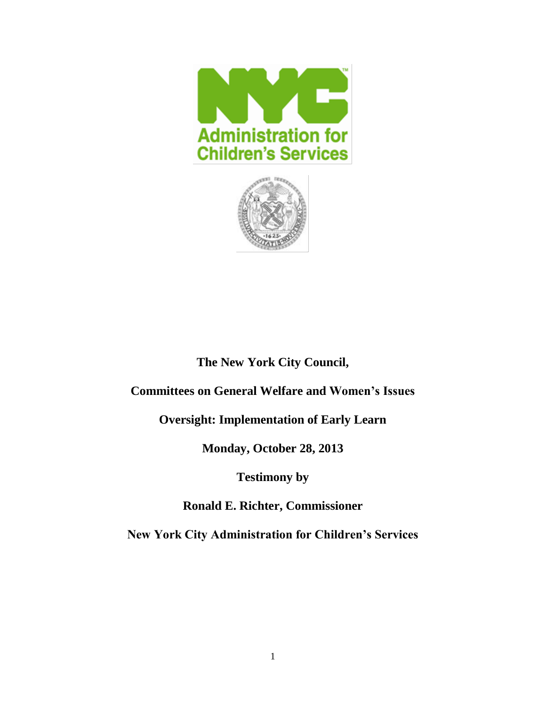



# **The New York City Council,**

## **Committees on General Welfare and Women's Issues**

**Oversight: Implementation of Early Learn**

**Monday, October 28, 2013**

**Testimony by**

**Ronald E. Richter, Commissioner**

**New York City Administration for Children's Services**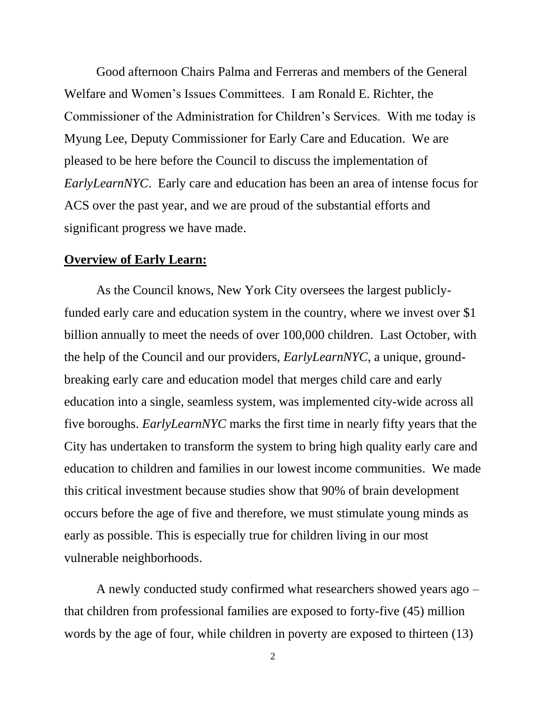Good afternoon Chairs Palma and Ferreras and members of the General Welfare and Women's Issues Committees. I am Ronald E. Richter, the Commissioner of the Administration for Children's Services. With me today is Myung Lee, Deputy Commissioner for Early Care and Education. We are pleased to be here before the Council to discuss the implementation of *EarlyLearnNYC*. Early care and education has been an area of intense focus for ACS over the past year, and we are proud of the substantial efforts and significant progress we have made.

### **Overview of Early Learn:**

As the Council knows, New York City oversees the largest publiclyfunded early care and education system in the country, where we invest over \$1 billion annually to meet the needs of over 100,000 children. Last October, with the help of the Council and our providers, *EarlyLearnNYC*, a unique, groundbreaking early care and education model that merges child care and early education into a single, seamless system, was implemented city-wide across all five boroughs. *EarlyLearnNYC* marks the first time in nearly fifty years that the City has undertaken to transform the system to bring high quality early care and education to children and families in our lowest income communities. We made this critical investment because studies show that 90% of brain development occurs before the age of five and therefore, we must stimulate young minds as early as possible. This is especially true for children living in our most vulnerable neighborhoods.

A newly conducted study confirmed what researchers showed years ago – that children from professional families are exposed to forty-five (45) million words by the age of four, while children in poverty are exposed to thirteen (13)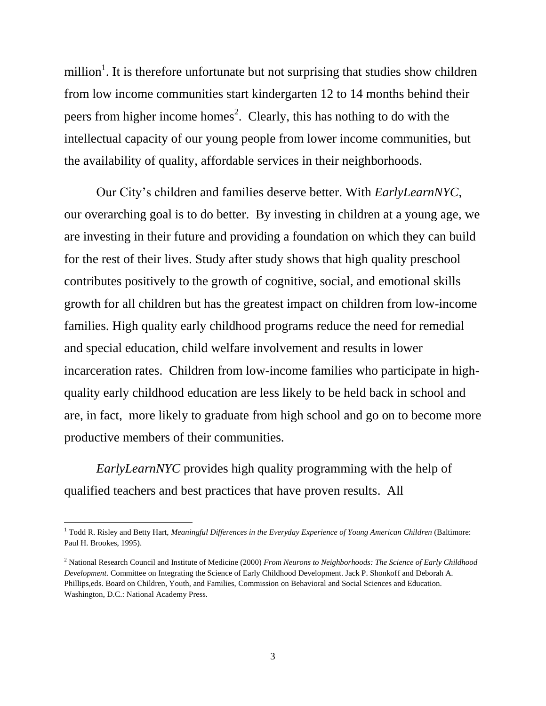million<sup>1</sup>. It is therefore unfortunate but not surprising that studies show children from low income communities start kindergarten 12 to 14 months behind their peers from higher income homes<sup>2</sup>. Clearly, this has nothing to do with the intellectual capacity of our young people from lower income communities, but the availability of quality, affordable services in their neighborhoods.

Our City's children and families deserve better. With *EarlyLearnNYC*, our overarching goal is to do better. By investing in children at a young age, we are investing in their future and providing a foundation on which they can build for the rest of their lives. Study after study shows that high quality preschool contributes positively to the growth of cognitive, social, and emotional skills growth for all children but has the greatest impact on children from low-income families. High quality early childhood programs reduce the need for remedial and special education, child welfare involvement and results in lower incarceration rates. Children from low-income families who participate in highquality early childhood education are less likely to be held back in school and are, in fact, more likely to graduate from high school and go on to become more productive members of their communities.

*EarlyLearnNYC* provides high quality programming with the help of qualified teachers and best practices that have proven results. All

 $\overline{\phantom{a}}$ 

<sup>1</sup> Todd R. Risley and Betty Hart, *Meaningful Differences in the Everyday Experience of Young American Children* (Baltimore: Paul H. Brookes, 1995).

<sup>2</sup> National Research Council and Institute of Medicine (2000) *From Neurons to Neighborhoods: The Science of Early Childhood Development.* Committee on Integrating the Science of Early Childhood Development. Jack P. Shonkoff and Deborah A. Phillips,eds. Board on Children, Youth, and Families, Commission on Behavioral and Social Sciences and Education. Washington, D.C.: National Academy Press.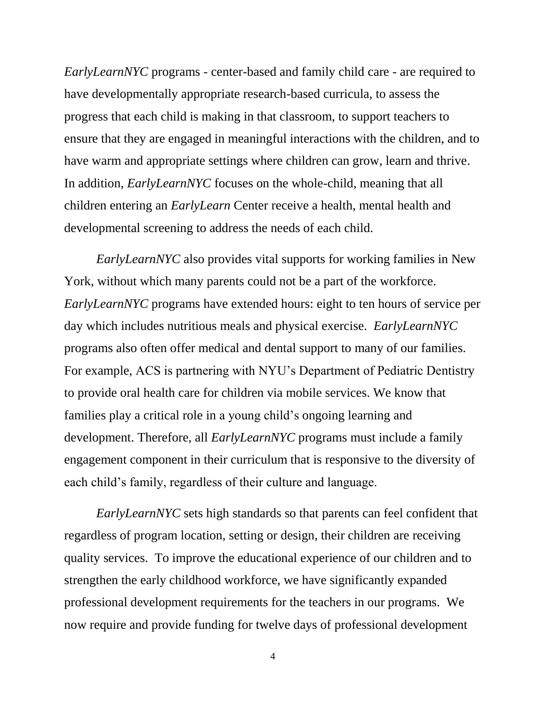*EarlyLearnNYC* programs - center-based and family child care - are required to have developmentally appropriate research-based curricula, to assess the progress that each child is making in that classroom, to support teachers to ensure that they are engaged in meaningful interactions with the children, and to have warm and appropriate settings where children can grow, learn and thrive. In addition, *EarlyLearnNYC* focuses on the whole-child, meaning that all children entering an *EarlyLearn* Center receive a health, mental health and developmental screening to address the needs of each child.

*EarlyLearnNYC* also provides vital supports for working families in New York, without which many parents could not be a part of the workforce. *EarlyLearnNYC* programs have extended hours: eight to ten hours of service per day which includes nutritious meals and physical exercise. *EarlyLearnNYC* programs also often offer medical and dental support to many of our families. For example, ACS is partnering with NYU's Department of Pediatric Dentistry to provide oral health care for children via mobile services. We know that families play a critical role in a young child's ongoing learning and development. Therefore, all *EarlyLearnNYC* programs must include a family engagement component in their curriculum that is responsive to the diversity of each child's family, regardless of their culture and language.

*EarlyLearnNYC* sets high standards so that parents can feel confident that regardless of program location, setting or design, their children are receiving quality services. To improve the educational experience of our children and to strengthen the early childhood workforce, we have significantly expanded professional development requirements for the teachers in our programs. We now require and provide funding for twelve days of professional development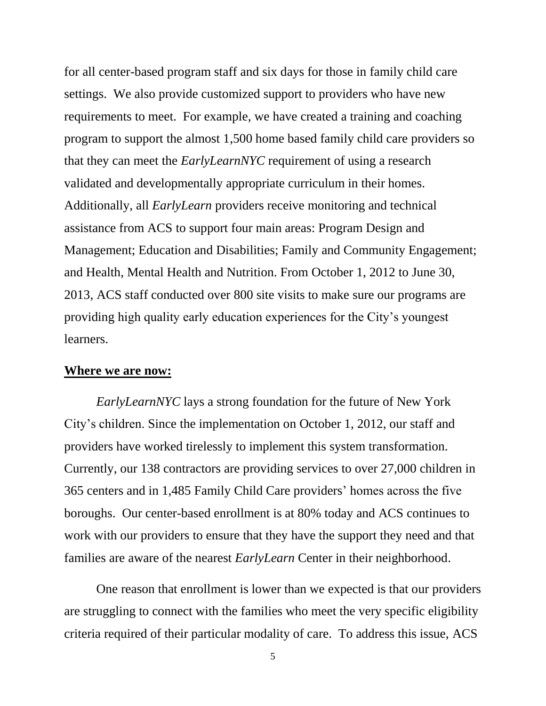for all center-based program staff and six days for those in family child care settings. We also provide customized support to providers who have new requirements to meet. For example, we have created a training and coaching program to support the almost 1,500 home based family child care providers so that they can meet the *EarlyLearnNYC* requirement of using a research validated and developmentally appropriate curriculum in their homes. Additionally, all *EarlyLearn* providers receive monitoring and technical assistance from ACS to support four main areas: Program Design and Management; Education and Disabilities; Family and Community Engagement; and Health, Mental Health and Nutrition. From October 1, 2012 to June 30, 2013, ACS staff conducted over 800 site visits to make sure our programs are providing high quality early education experiences for the City's youngest learners.

#### **Where we are now:**

*EarlyLearnNYC* lays a strong foundation for the future of New York City's children. Since the implementation on October 1, 2012, our staff and providers have worked tirelessly to implement this system transformation. Currently, our 138 contractors are providing services to over 27,000 children in 365 centers and in 1,485 Family Child Care providers' homes across the five boroughs. Our center-based enrollment is at 80% today and ACS continues to work with our providers to ensure that they have the support they need and that families are aware of the nearest *EarlyLearn* Center in their neighborhood.

One reason that enrollment is lower than we expected is that our providers are struggling to connect with the families who meet the very specific eligibility criteria required of their particular modality of care. To address this issue, ACS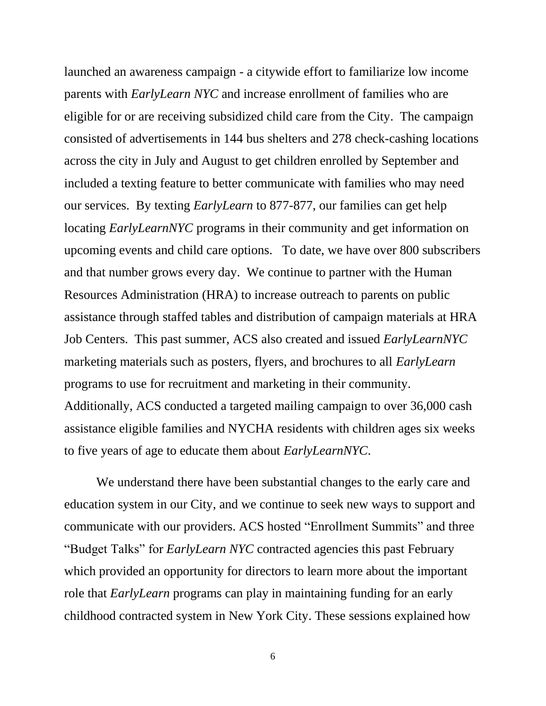launched an awareness campaign - a citywide effort to familiarize low income parents with *EarlyLearn NYC* and increase enrollment of families who are eligible for or are receiving subsidized child care from the City. The campaign consisted of advertisements in 144 bus shelters and 278 check-cashing locations across the city in July and August to get children enrolled by September and included a texting feature to better communicate with families who may need our services. By texting *EarlyLearn* to 877-877, our families can get help locating *EarlyLearnNYC* programs in their community and get information on upcoming events and child care options. To date, we have over 800 subscribers and that number grows every day. We continue to partner with the Human Resources Administration (HRA) to increase outreach to parents on public assistance through staffed tables and distribution of campaign materials at HRA Job Centers. This past summer, ACS also created and issued *EarlyLearnNYC* marketing materials such as posters, flyers, and brochures to all *EarlyLearn* programs to use for recruitment and marketing in their community. Additionally, ACS conducted a targeted mailing campaign to over 36,000 cash assistance eligible families and NYCHA residents with children ages six weeks to five years of age to educate them about *EarlyLearnNYC*.

We understand there have been substantial changes to the early care and education system in our City, and we continue to seek new ways to support and communicate with our providers. ACS hosted "Enrollment Summits" and three "Budget Talks" for *EarlyLearn NYC* contracted agencies this past February which provided an opportunity for directors to learn more about the important role that *EarlyLearn* programs can play in maintaining funding for an early childhood contracted system in New York City. These sessions explained how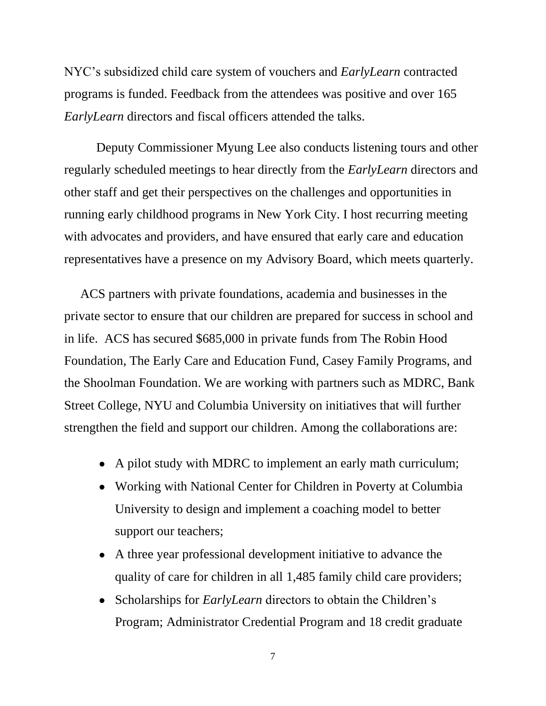NYC's subsidized child care system of vouchers and *EarlyLearn* contracted programs is funded. Feedback from the attendees was positive and over 165 *EarlyLearn* directors and fiscal officers attended the talks.

Deputy Commissioner Myung Lee also conducts listening tours and other regularly scheduled meetings to hear directly from the *EarlyLearn* directors and other staff and get their perspectives on the challenges and opportunities in running early childhood programs in New York City. I host recurring meeting with advocates and providers, and have ensured that early care and education representatives have a presence on my Advisory Board, which meets quarterly.

ACS partners with private foundations, academia and businesses in the private sector to ensure that our children are prepared for success in school and in life. ACS has secured \$685,000 in private funds from The Robin Hood Foundation, The Early Care and Education Fund, Casey Family Programs, and the Shoolman Foundation. We are working with partners such as MDRC, Bank Street College, NYU and Columbia University on initiatives that will further strengthen the field and support our children. Among the collaborations are:

- A pilot study with MDRC to implement an early math curriculum;
- Working with National Center for Children in Poverty at Columbia University to design and implement a coaching model to better support our teachers;
- A three year professional development initiative to advance the quality of care for children in all 1,485 family child care providers;
- Scholarships for *EarlyLearn* directors to obtain the Children's Program; Administrator Credential Program and 18 credit graduate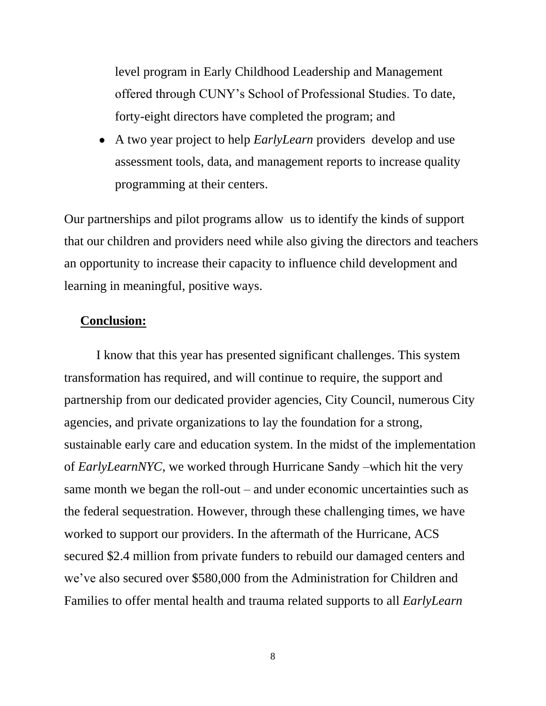level program in Early Childhood Leadership and Management offered through CUNY's School of Professional Studies. To date, forty-eight directors have completed the program; and

A two year project to help *EarlyLearn* providers develop and use assessment tools, data, and management reports to increase quality programming at their centers.

Our partnerships and pilot programs allow us to identify the kinds of support that our children and providers need while also giving the directors and teachers an opportunity to increase their capacity to influence child development and learning in meaningful, positive ways.

### **Conclusion:**

I know that this year has presented significant challenges. This system transformation has required, and will continue to require, the support and partnership from our dedicated provider agencies, City Council, numerous City agencies, and private organizations to lay the foundation for a strong, sustainable early care and education system. In the midst of the implementation of *EarlyLearnNYC*, we worked through Hurricane Sandy –which hit the very same month we began the roll-out – and under economic uncertainties such as the federal sequestration. However, through these challenging times, we have worked to support our providers. In the aftermath of the Hurricane, ACS secured \$2.4 million from private funders to rebuild our damaged centers and we've also secured over \$580,000 from the Administration for Children and Families to offer mental health and trauma related supports to all *EarlyLearn*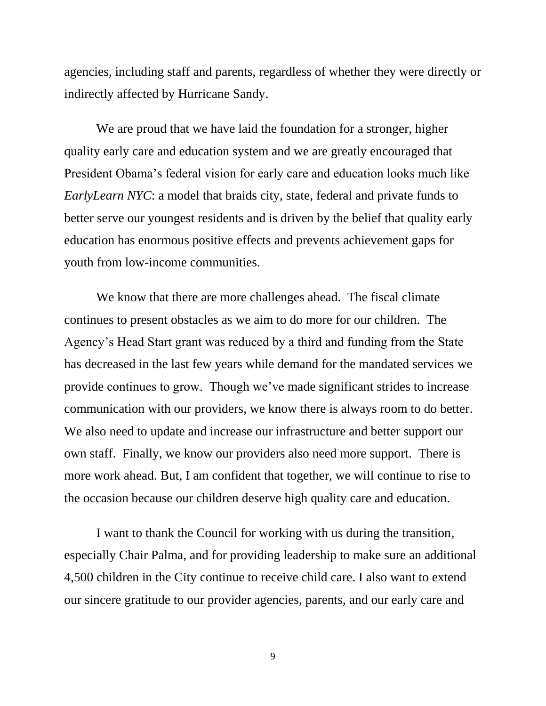agencies, including staff and parents, regardless of whether they were directly or indirectly affected by Hurricane Sandy.

We are proud that we have laid the foundation for a stronger, higher quality early care and education system and we are greatly encouraged that President Obama's federal vision for early care and education looks much like *EarlyLearn NYC*: a model that braids city, state, federal and private funds to better serve our youngest residents and is driven by the belief that quality early education has enormous positive effects and prevents achievement gaps for youth from low-income communities.

We know that there are more challenges ahead. The fiscal climate continues to present obstacles as we aim to do more for our children. The Agency's Head Start grant was reduced by a third and funding from the State has decreased in the last few years while demand for the mandated services we provide continues to grow. Though we've made significant strides to increase communication with our providers, we know there is always room to do better. We also need to update and increase our infrastructure and better support our own staff. Finally, we know our providers also need more support. There is more work ahead. But, I am confident that together, we will continue to rise to the occasion because our children deserve high quality care and education.

I want to thank the Council for working with us during the transition, especially Chair Palma, and for providing leadership to make sure an additional 4,500 children in the City continue to receive child care. I also want to extend our sincere gratitude to our provider agencies, parents, and our early care and